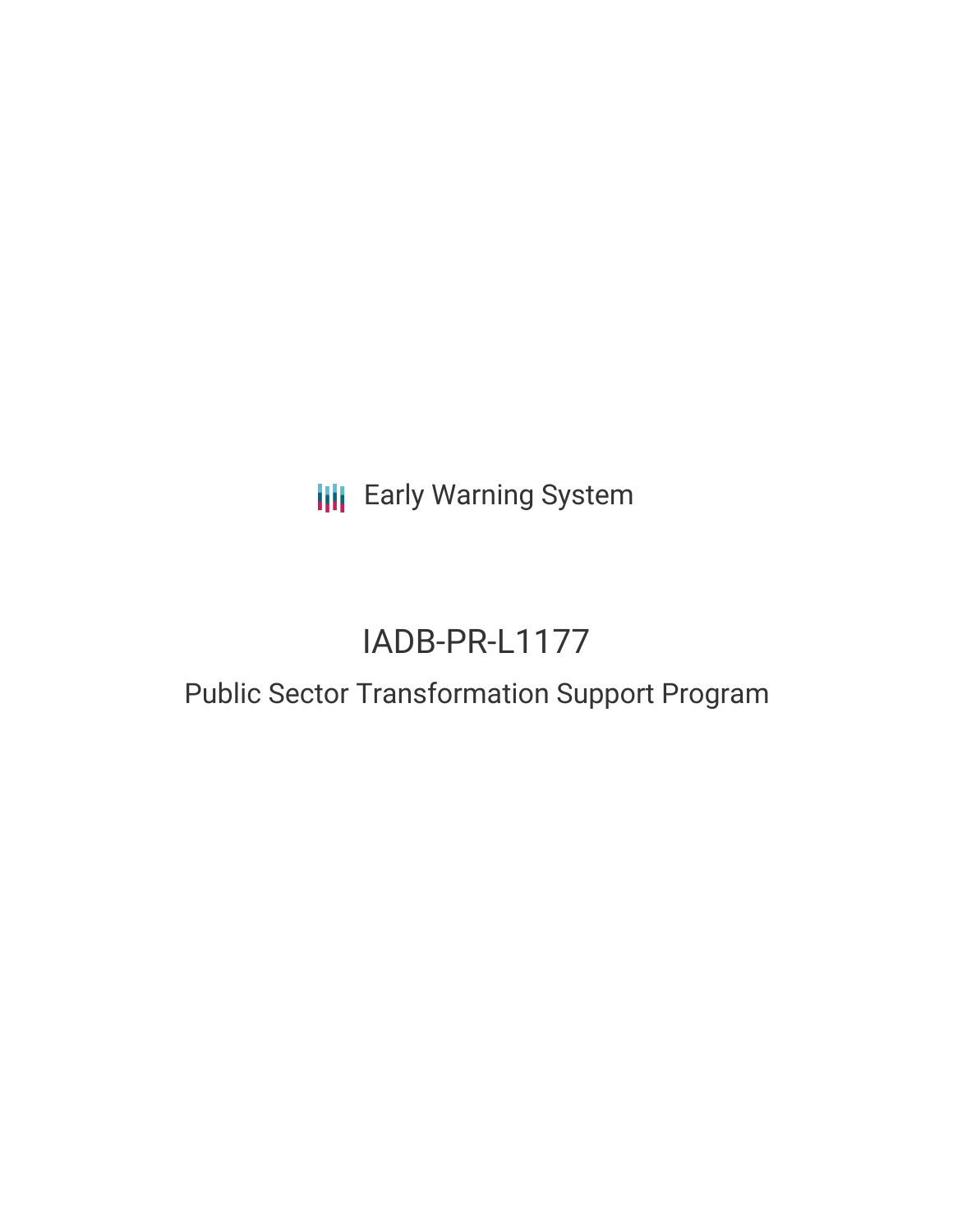**III** Early Warning System

# IADB-PR-L1177

## Public Sector Transformation Support Program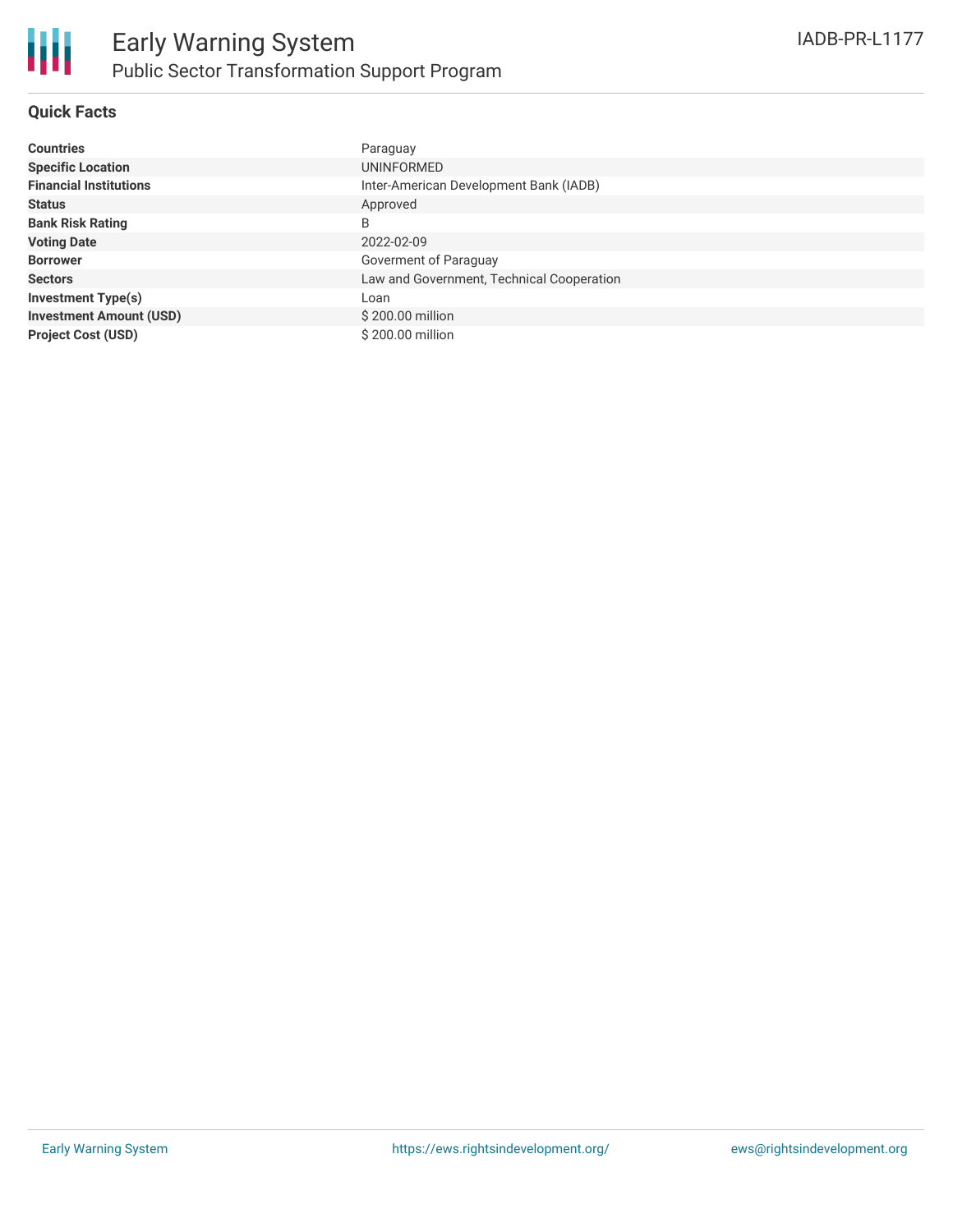

### **Quick Facts**

| <b>Countries</b>               | Paraguay                                  |
|--------------------------------|-------------------------------------------|
| <b>Specific Location</b>       | <b>UNINFORMED</b>                         |
| <b>Financial Institutions</b>  | Inter-American Development Bank (IADB)    |
| <b>Status</b>                  | Approved                                  |
| <b>Bank Risk Rating</b>        | B                                         |
| <b>Voting Date</b>             | 2022-02-09                                |
| <b>Borrower</b>                | Goverment of Paraguay                     |
| <b>Sectors</b>                 | Law and Government, Technical Cooperation |
| <b>Investment Type(s)</b>      | Loan                                      |
| <b>Investment Amount (USD)</b> | \$200.00 million                          |
| <b>Project Cost (USD)</b>      | \$200.00 million                          |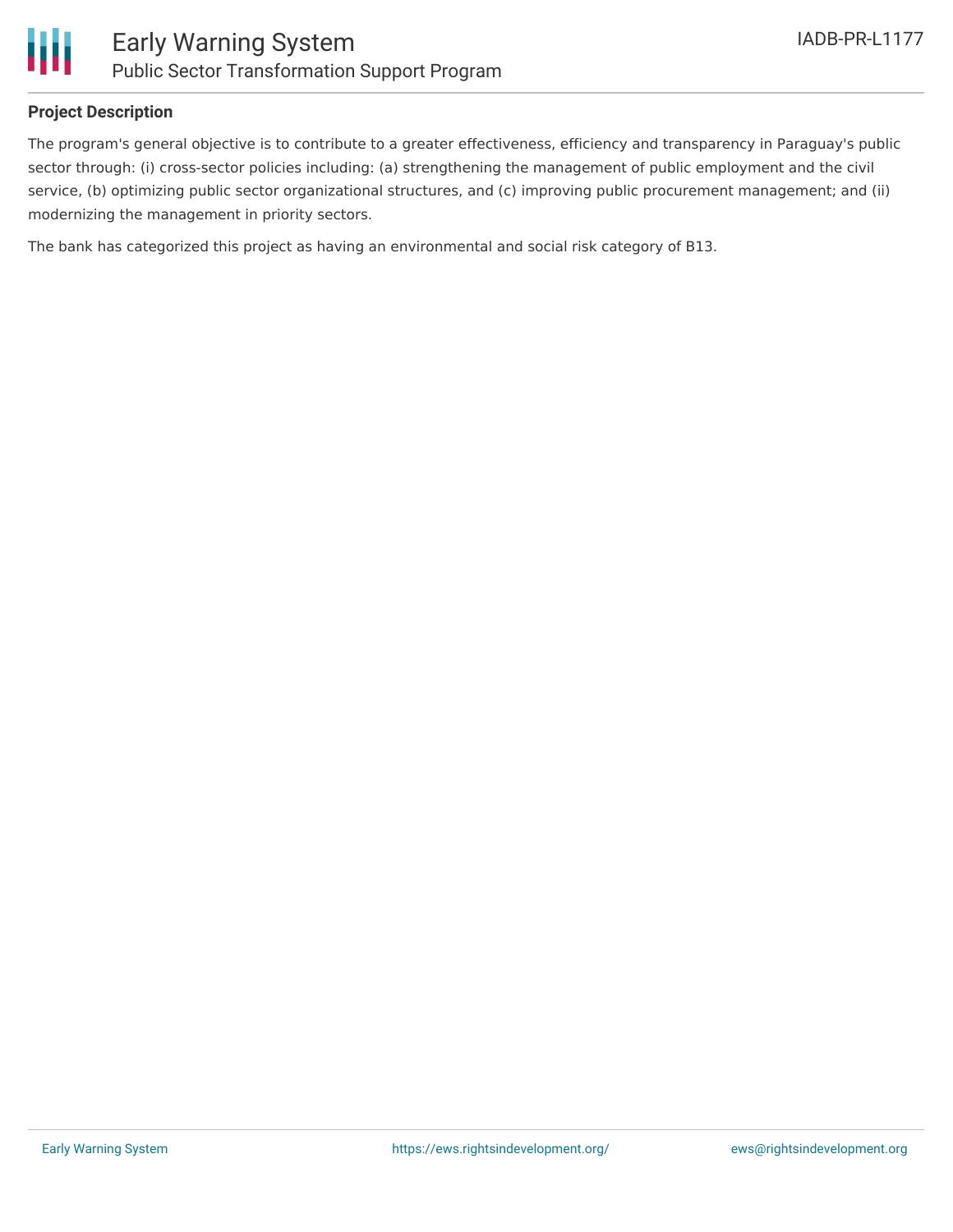

### **Project Description**

The program's general objective is to contribute to a greater effectiveness, efficiency and transparency in Paraguay's public sector through: (i) cross-sector policies including: (a) strengthening the management of public employment and the civil service, (b) optimizing public sector organizational structures, and (c) improving public procurement management; and (ii) modernizing the management in priority sectors.

The bank has categorized this project as having an environmental and social risk category of B13.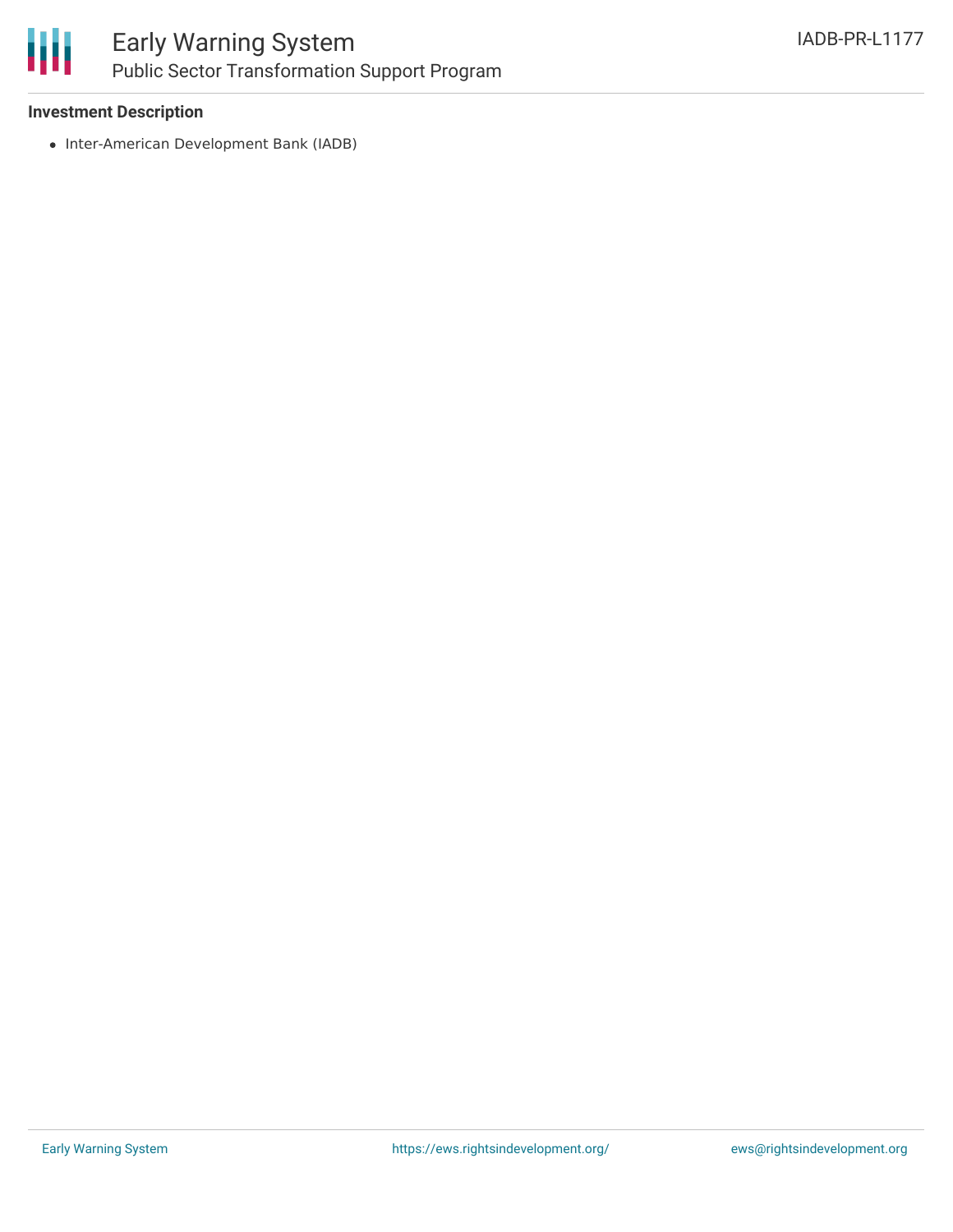

### Early Warning System Public Sector Transformation Support Program

### **Investment Description**

• Inter-American Development Bank (IADB)